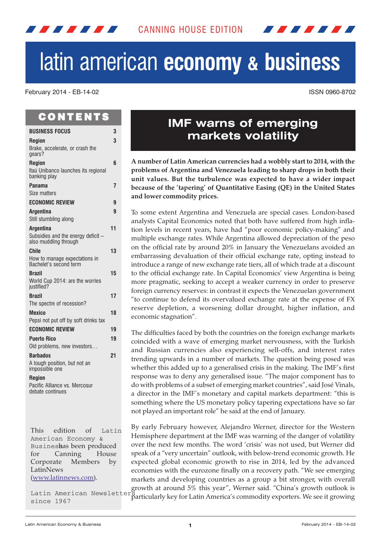

# latin american **economy & business**

February 2014 - EB-14-02 ISSN 0960-8702

## C O N T E N T S

<u> 2009 - 2009 - 2009 - 2009 - 2009 - 2009 - 2009 - 2009 - 2009 - 2009 - 2009 - 2009 - 2009 - 2009 - 2009 - 200</u>

| <b>BUSINESS FOCUS</b>                                              | 3  |
|--------------------------------------------------------------------|----|
| <b>Region</b>                                                      | 3  |
| Brake, accelerate, or crash the<br>gears?                          |    |
| <b>Region</b>                                                      | 6  |
| Itaú Unibanco launches its regional<br>banking play                |    |
| Panama<br>Size matters                                             | 7  |
| <b>ECONOMIC REVIEW</b>                                             | g  |
| <b>Argentina</b>                                                   | g  |
| Still stumbling along                                              |    |
| Argentina                                                          | 11 |
| Subsidies and the energy deficit -<br>also muddling through        |    |
| <b>Chile</b>                                                       | 13 |
| How to manage expectations in<br>Bachelet's second term            |    |
| <b>Brazil</b>                                                      | 15 |
| World Cup 2014: are the worries<br>justified?                      |    |
| Brazil                                                             | 17 |
| The spectre of recession?                                          |    |
| <b>Mexico</b>                                                      | 18 |
| Pepsi not put off by soft drinks tax                               |    |
| <b>ECONOMIC REVIEW</b>                                             | 19 |
| <b>Puerto Rico</b>                                                 | 19 |
| Old problems, new investors                                        |    |
| <b>Barbados</b>                                                    | 21 |
| A tough position, but not an<br>impossible one                     |    |
| <b>Region</b><br>Pacific Alliance vs. Mercosur<br>debate continues |    |
|                                                                    |    |
|                                                                    |    |
|                                                                    |    |

This edition of Latin American Economy & Busineshas been produced for Canning House Corporate Members by LatinNews [\(www.latinnews.com\)](http://www.latinnews.com).

Latin American Newsletter since 1967

# **IMF warns of emerging markets volatility**

**A number of Latin American currencies had a wobbly start to 2014, with the problems of Argentina and Venezuela leading to sharp drops in both their unit values. But the turbulence was expected to have a wider impact because of the 'tapering' of Quantitative Easing (QE) in the United States and lower commodity prices.**

To some extent Argentina and Venezuela are special cases. London-based analysts Capital Economics noted that both have suffered from high inflation levels in recent years, have had "poor economic policy-making" and multiple exchange rates. While Argentina allowed depreciation of the peso on the official rate by around 20% in January the Venezuelans avoided an embarrassing devaluation of their official exchange rate, opting instead to introduce a range of new exchange rate tiers, all of which trade at a discount to the official exchange rate. In Capital Economics' view Argentina is being more pragmatic, seeking to accept a weaker currency in order to preserve foreign currency reserves: in contrast it expects the Venezuelan government "to continue to defend its overvalued exchange rate at the expense of FX reserve depletion, a worsening dollar drought, higher inflation, and economic stagnation".

The difficulties faced by both the countries on the foreign exchange markets coincided with a wave of emerging market nervousness, with the Turkish and Russian currencies also experiencing sell-offs, and interest rates trending upwards in a number of markets. The question being posed was whether this added up to a generalised crisis in the making. The IMF's first response was to deny any generalised issue. "The major component has to do with problems of a subset of emerging market countries", said José Vinals, a director in the IMF's monetary and capital markets department: "this is something where the US monetary policy tapering expectations have so far not played an important role" he said at the end of January.

By early February however, Alejandro Werner, director for the Western Hemisphere department at the IMF was warning of the danger of volatility over the next few months. The word 'crisis' was not used, but Werner did speak of a "very uncertain" outlook, with below-trend economic growth. He expected global economic growth to rise in 2014, led by the advanced economies with the eurozone finally on a recovery path. "We see emerging markets and developing countries as a group a bit stronger, with overall growth at around 5% this year", Werner said. "China's growth outlook is particularly key for Latin America's commodity exporters. We see it growing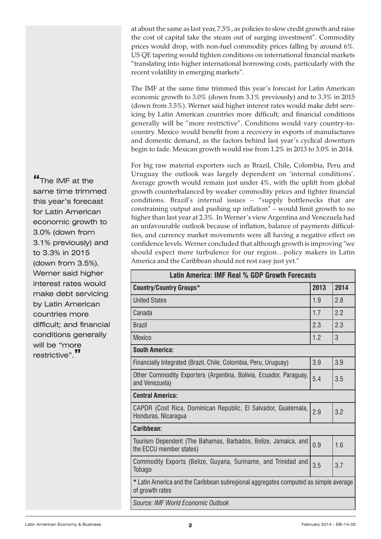at about the same as last year, 7.5%, as policies to slow credit growth and raise the cost of capital take the steam out of surging investment". Commodity prices would drop, with non-fuel commodity prices falling by around 6%. US QE tapering would tighten conditions on international financial markets "translating into higher international borrowing costs, particularly with the recent volatility in emerging markets".

The IMF at the same time trimmed this year's forecast for Latin American economic growth to 3.0% (down from 3.1% previously) and to 3.3% in 2015 (down from 3.5%). Werner said higher interest rates would make debt servicing by Latin American countries more difficult; and financial conditions generally will be "more restrictive". Conditions would vary country-tocountry. Mexico would benefit from a recovery in exports of manufactures and domestic demand, as the factors behind last year's cyclical downturn begin to fade. Mexican growth would rise from 1.2% in 2013 to 3.0% in 2014.

For big raw material exporters such as Brazil, Chile, Colombia, Peru and Uruguay the outlook was largely dependent on 'internal conditions'. Average growth would remain just under 4%, with the uplift from global growth counterbalanced by weaker commodity prices and tighter financial conditions. Brazil's internal issues – "supply bottlenecks that are constraining output and pushing up inflation" – would limit growth to no higher than last year at 2.3%. In Werner's view Argentina and Venezuela had an unfavourable outlook because of inflation, balance of payments difficulties, and currency market movements were all having a negative effect on confidence levels. Werner concluded that although growth is improving "we should expect more turbulence for our region…policy makers in Latin America and the Caribbean should not rest easy just yet."

| Latin America: IMF Real % GDP Growth Forecasts                                                         |      |      |  |
|--------------------------------------------------------------------------------------------------------|------|------|--|
| <b>Country/Country Groups*</b>                                                                         | 2013 | 2014 |  |
| <b>United States</b>                                                                                   | 1.9  | 2.8  |  |
| Canada                                                                                                 | 1.7  | 2.2  |  |
| <b>Brazil</b>                                                                                          | 2.3  | 2.3  |  |
| <b>Mexico</b>                                                                                          | 1.2  | 3    |  |
| <b>South America:</b>                                                                                  |      |      |  |
| Financially Integrated (Brazil, Chile, Colombia, Peru, Uruguay)                                        | 3.9  | 3.9  |  |
| Other Commodity Exporters (Argentina, Bolivia, Ecuador, Paraguay,<br>and Venezuela)                    | 5.4  | 3.5  |  |
| <b>Central America:</b>                                                                                |      |      |  |
| CAPDR (Cost Rica, Dominican Republic, El Salvador, Guatemala,<br>Honduras, Nicaragua                   | 2.9  | 3.2  |  |
| Caribbean:                                                                                             |      |      |  |
| Tourism Dependent (The Bahamas, Barbados, Belize, Jamaica, and<br>the ECCU member states)              | 0.9  | 1.6  |  |
| Commodity Exports (Belize, Guyana, Suriname, and Trinidad and<br>Tobago                                | 3.5  | 3.7  |  |
| * Latin America and the Caribbean subregional aggregates computed as simple average<br>of growth rates |      |      |  |
| Source: IMF World Economic Outlook                                                                     |      |      |  |

**"**The IMF at the same time trimmed this year's forecast for Latin American economic growth to 3.0% (down from 3.1% previously) and to 3.3% in 2015 (down from 3.5%). Werner said higher interest rates would make debt servicing by Latin American countries more difficult; and financial conditions generally will be "more restrictive".**"**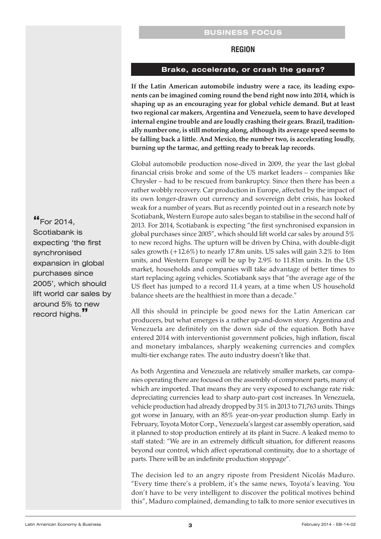## **BUSINESS FOCUS**

#### **REGION**

#### **Brake, accelerate, or crash the gears?**

<span id="page-2-0"></span>**If the Latin American automobile industry were a race, its leading exponents can be imagined coming round the bend right now into 2014, which is shaping up as an encouraging year for global vehicle demand. But at least two regional car makers, Argentina and Venezuela, seem to have developed internal engine trouble and are loudly crashing their gears. Brazil, traditionally number one, is still motoring along, although its average speed seems to be falling back a little. And Mexico, the number two, is accelerating loudly, burning up the tarmac, and getting ready to break lap records.**

Global automobile production nose-dived in 2009, the year the last global financial crisis broke and some of the US market leaders – companies like Chrysler – had to be rescued from bankruptcy. Since then there has been a rather wobbly recovery. Car production in Europe, affected by the impact of its own longer-drawn out currency and sovereign debt crisis, has looked weak for a number of years. But as recently pointed out in a research note by Scotiabank, Western Europe auto sales began to stabilise in the second half of 2013. For 2014, Scotiabank is expecting "the first synchronised expansion in global purchases since 2005", which should lift world car sales by around 5% to new record highs. The upturn will be driven by China, with double-digit sales growth (+12.6%) to nearly 17.8m units. US sales will gain 3.2% to 16m units, and Western Europe will be up by 2.9% to 11.81m units. In the US market, households and companies will take advantage of better times to start replacing ageing vehicles. Scotiabank says that "the average age of the US fleet has jumped to a record 11.4 years, at a time when US household balance sheets are the healthiest in more than a decade."

All this should in principle be good news for the Latin American car producers, but what emerges is a rather up-and-down story. Argentina and Venezuela are definitely on the down side of the equation. Both have entered 2014 with interventionist government policies, high inflation, fiscal and monetary imbalances, sharply weakening currencies and complex multi-tier exchange rates. The auto industry doesn't like that.

As both Argentina and Venezuela are relatively smaller markets, car companies operating there are focused on the assembly of component parts, many of which are imported. That means they are very exposed to exchange rate risk: depreciating currencies lead to sharp auto-part cost increases. In Venezuela, vehicle production had already dropped by 31% in 2013 to 71,763 units. Things got worse in January, with an 85% year-on-year production slump. Early in February, Toyota Motor Corp., Venezuela's largest car assembly operation, said it planned to stop production entirely at its plant in Sucre. A leaked memo to staff stated: "We are in an extremely difficult situation, for different reasons beyond our control, which affect operational continuity, due to a shortage of parts. There will be an indefinite production stoppage".

The decision led to an angry riposte from President Nicolás Maduro. "Every time there's a problem, it's the same news, Toyota's leaving. You don't have to be very intelligent to discover the political motives behind this", Maduro complained, demanding to talk to more senior executives in

**"**For 2014, Scotiabank is expecting 'the first synchronised expansion in global purchases since 2005', which should lift world car sales by around 5% to new record highs.**"**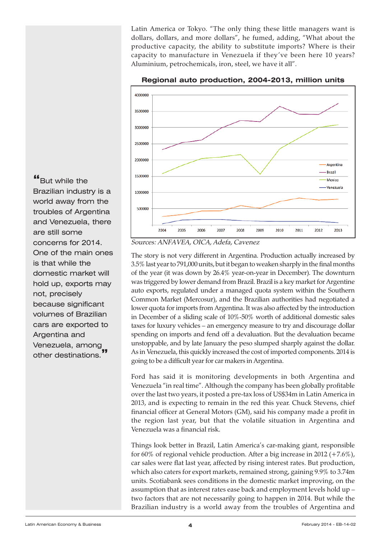Latin America or Tokyo. "The only thing these little managers want is dollars, dollars, and more dollars", he fumed, adding, "What about the productive capacity, the ability to substitute imports? Where is their capacity to manufacture in Venezuela if they've been here 10 years? Aluminium, petrochemicals, iron, steel, we have it all".



**Regional auto production, 2004-2013, million units**

Sources: ANFAVEA, OICA, Adefa, Cavenez

The story is not very different in Argentina. Production actually increased by 3.5% last year to 791,000 units, but it began to weaken sharply in the final months of the year (it was down by 26.4% year-on-year in December). The downturn was triggered by lower demand from Brazil. Brazil is a key market for Argentine auto exports, regulated under a managed quota system within the Southern Common Market (Mercosur), and the Brazilian authorities had negotiated a lower quota forimports from Argentina. It was also affected by the introduction in December of a sliding scale of 10%-50% worth of additional domestic sales taxes for luxury vehicles – an emergency measure to try and discourage dollar spending on imports and fend off a devaluation. But the devaluation became unstoppable, and by late January the peso slumped sharply against the dollar. As in Venezuela, this quickly increased the cost of imported components. 2014 is going to be a difficult year for car makers in Argentina.

Ford has said it is monitoring developments in both Argentina and Venezuela "in real time". Although the company has been globally profitable over the last two years, it posted a pre-tax loss of US\$34m in Latin America in 2013, and is expecting to remain in the red this year. Chuck Stevens, chief financial officer at General Motors (GM), said his company made a profit in the region last year, but that the volatile situation in Argentina and Venezuela was a financial risk.

Things look better in Brazil, Latin America's car-making giant, responsible for 60% of regional vehicle production. After a big increase in 2012 (+7.6%), car sales were flat last year, affected by rising interest rates. But production, which also caters for export markets, remained strong, gaining 9.9% to 3.74m units. Scotiabank sees conditions in the domestic market improving, on the assumption that as interest rates ease back and employment levels hold up – two factors that are not necessarily going to happen in 2014. But while the Brazilian industry is a world away from the troubles of Argentina and

**"**But while the Brazilian industry is a world away from the troubles of Argentina and Venezuela, there are still some concerns for 2014. One of the main ones is that while the domestic market will hold up, exports may not, precisely because significant volumes of Brazilian cars are exported to Argentina and Venezuela, among other destinations.**"**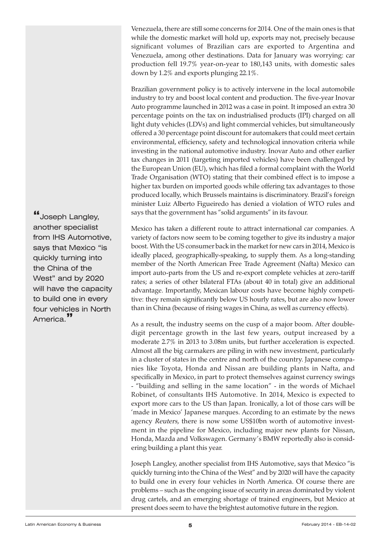Venezuela, there are still some concerns for 2014. One of the main ones is that while the domestic market will hold up, exports may not, precisely because significant volumes of Brazilian cars are exported to Argentina and Venezuela, among other destinations. Data for January was worrying: car production fell 19.7% year-on-year to 180,143 units, with domestic sales down by 1.2% and exports plunging 22.1%.

Brazilian government policy is to actively intervene in the local automobile industry to try and boost local content and production. The five-year Inovar Auto programme launched in 2012 was a case in point. It imposed an extra 30 percentage points on the tax on industrialised products (IPI) charged on all light duty vehicles (LDVs) and light commercial vehicles, but simultaneously offered a 30 percentage point discount for automakers that could meet certain environmental, efficiency, safety and technological innovation criteria while investing in the national automotive industry. Inovar Auto and other earlier tax changes in 2011 (targeting imported vehicles) have been challenged by the European Union (EU), which has filed a formal complaint with the World Trade Organisation (WTO) stating that their combined effect is to impose a higher tax burden on imported goods while offering tax advantages to those produced locally, which Brussels maintains is discriminatory. Brazil's foreign minister Luiz Alberto Figueiredo has denied a violation of WTO rules and says that the government has "solid arguments" in its favour.

Mexico has taken a different route to attract international car companies. A variety of factors now seem to be coming together to give its industry a major boost. With the US consumer back in the market for new cars in 2014, Mexico is ideally placed, geographically-speaking, to supply them. As a long-standing member of the North American Free Trade Agreement (Nafta) Mexico can import auto-parts from the US and re-export complete vehicles at zero-tariff rates; a series of other bilateral FTAs (about 40 in total) give an additional advantage. Importantly, Mexican labour costs have become highly competitive: they remain significantly below US hourly rates, but are also now lower than in China (because of rising wages in China, as well as currency effects).

As a result, the industry seems on the cusp of a major boom. After doubledigit percentage growth in the last few years, output increased by a moderate 2.7% in 2013 to 3.08m units, but further acceleration is expected. Almost all the big carmakers are piling in with new investment, particularly in a cluster of states in the centre and north of the country. Japanese companies like Toyota, Honda and Nissan are building plants in Nafta, and specifically in Mexico, in part to protect themselves against currency swings - "building and selling in the same location" - in the words of Michael Robinet, of consultants IHS Automotive. In 2014, Mexico is expected to export more cars to the US than Japan. Ironically, a lot of those cars will be 'made in Mexico' Japanese marques. According to an estimate by the news agency Reuters, there is now some US\$10bn worth of automotive investment in the pipeline for Mexico, including major new plants for Nissan, Honda, Mazda and Volkswagen. Germany's BMW reportedly also is considering building a plant this year.

Joseph Langley, another specialist from IHS Automotive, says that Mexico "is quickly turning into the China of the West" and by 2020 will have the capacity to build one in every four vehicles in North America. Of course there are problems – such as the ongoing issue of security in areas dominated by violent drug cartels, and an emerging shortage of trained engineers, but Mexico at present does seem to have the brightest automotive future in the region.

**"**Joseph Langley, another specialist from IHS Automotive, says that Mexico "is quickly turning into the China of the West" and by 2020 will have the capacity to build one in every four vehicles in North America.**"**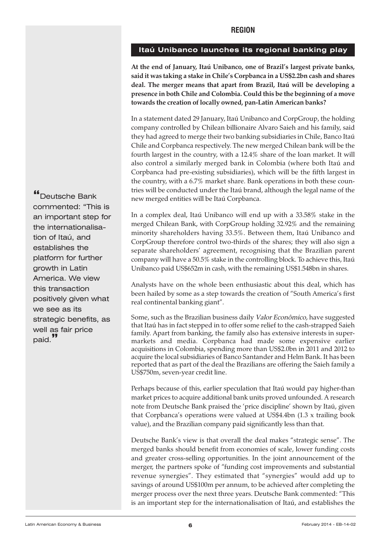## <span id="page-5-0"></span>**Itaú Unibanco launches its regional banking play**

**At the end of January, Itaú Unibanco, one of Brazil's largest private banks, said it was taking a stake in Chile's Corpbanca in a US\$2.2bn cash and shares deal. The merger means that apart from Brazil, Itaú will be developing a presence in both Chile and Colombia. Could this be the beginning of a move towards the creation of locally owned, pan-Latin American banks?**

In a statement dated 29 January, Itaú Unibanco and CorpGroup, the holding company controlled by Chilean billionaire Alvaro Saieh and his family, said they had agreed to merge their two banking subsidiaries in Chile, Banco Itaú Chile and Corpbanca respectively. The new merged Chilean bank will be the fourth largest in the country, with a 12.4% share of the loan market. It will also control a similarly merged bank in Colombia (where both Itaú and Corpbanca had pre-existing subsidiaries), which will be the fifth largest in the country, with a 6.7% market share. Bank operations in both these countries will be conducted under the Itaú brand, although the legal name of the new merged entities will be Itaú Corpbanca.

In a complex deal, Itaú Unibanco will end up with a 33.58% stake in the merged Chilean Bank, with CorpGroup holding 32.92% and the remaining minority shareholders having 33.5%. Between them, Itaú Unibanco and CorpGroup therefore control two-thirds of the shares; they will also sign a separate shareholders' agreement, recognising that the Brazilian parent company will have a 50.5% stake in the controlling block. To achieve this, Itaú Unibanco paid US\$652m in cash, with the remaining US\$1.548bn in shares.

Analysts have on the whole been enthusiastic about this deal, which has been hailed by some as a step towards the creation of "South America's first real continental banking giant".

Some, such as the Brazilian business daily Valor Econômico, have suggested that Itaú has in fact stepped in to offer some relief to the cash-strapped Saieh family. Apart from banking, the family also has extensive interests in supermarkets and media. Corpbanca had made some expensive earlier acquisitions in Colombia, spending more than US\$2.0bn in 2011 and 2012 to acquire the local subsidiaries of Banco Santander and Helm Bank. It has been reported that as part of the deal the Brazilians are offering the Saieh family a US\$750m, seven-year credit line.

Perhaps because of this, earlier speculation that Itaú would pay higher-than market prices to acquire additional bank units proved unfounded. A research note from Deutsche Bank praised the 'price discipline' shown by Itaú, given that Corpbanca's operations were valued at US\$4.4bn (1.3 x trailing book value), and the Brazilian company paid significantly less than that.

Deutsche Bank's view is that overall the deal makes "strategic sense". The merged banks should benefit from economies of scale, lower funding costs and greater cross-selling opportunities. In the joint announcement of the merger, the partners spoke of "funding cost improvements and substantial revenue synergies". They estimated that "synergies" would add up to savings of around US\$100m per annum, to be achieved after completing the merger process over the next three years. Deutsche Bank commented: "This is an important step for the internationalisation of Itaú, and establishes the

**"**Deutsche Bank commented: "This is an important step for the internationalisation of Itaú, and establishes the platform for further growth in Latin America. We view this transaction positively given what we see as its strategic benefits, as well as fair price paid.**"**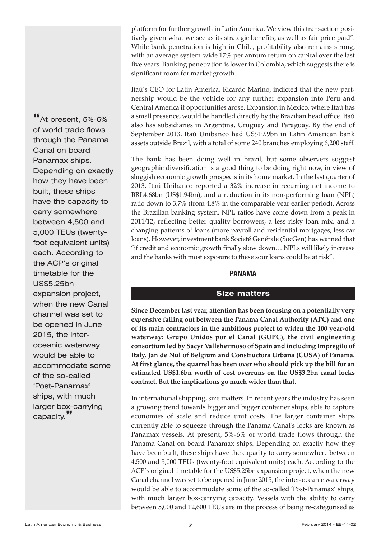<span id="page-6-0"></span>platform for further growth in Latin America. We view this transaction positively given what we see as its strategic benefits, as well as fair price paid". While bank penetration is high in Chile, profitability also remains strong, with an average system-wide 17% per annum return on capital over the last five years. Banking penetration is lower in Colombia, which suggests there is significant room for market growth.

Itaú's CEO for Latin America, Ricardo Marino, indicted that the new partnership would be the vehicle for any further expansion into Peru and Central America if opportunities arose. Expansion in Mexico, where Itaú has a small presence, would be handled directly by the Brazilian head office. Itaú also has subsidiaries in Argentina, Uruguay and Paraguay. By the end of September 2013, Itaú Unibanco had US\$19.9bn in Latin American bank assets outside Brazil, with a total of some 240 branches employing 6,200 staff.

The bank has been doing well in Brazil, but some observers suggest geographic diversification is a good thing to be doing right now, in view of sluggish economic growth prospects in its home market. In the last quarter of 2013, Itaú Unibanco reported a 32% increase in recurring net income to BRL4.68bn (US\$1.94bn), and a reduction in its non-performing loan (NPL) ratio down to 3.7% (from 4.8% in the comparable year-earlier period). Across the Brazilian banking system, NPL ratios have come down from a peak in 2011/12, reflecting better quality borrowers, a less risky loan mix, and a changing patterns of loans (more payroll and residential mortgages, less car loans). However, investment bank Societé Genérale (SocGen) has warned that "if credit and economic growth finally slow down… NPLs will likely increase and the banks with most exposure to these sour loans could be at risk".

## **PANAMA**

## **Size matters**

**Since December last year, attention has been focusing on a potentially very expensive falling out between the Panama Canal Authority (APC) and one of its main contractors in the ambitious project to widen the 100 year-old waterway: Grupo Unidos por el Canal (GUPC), the civil engineering consortium led by Sacyr Vallehermoso of Spain and including Impregilo of Italy, Jan de Nul of Belgium and Constructora Urbana (CUSA) of Panama. At first glance, the quarrel has been over who should pick up the bill for an estimated US\$1.6bn worth of cost overruns on the US\$3.2bn canal locks contract. But the implications go much wider than that.**

In international shipping, size matters. In recent years the industry has seen a growing trend towards bigger and bigger container ships, able to capture economies of scale and reduce unit costs. The larger container ships currently able to squeeze through the Panama Canal's locks are known as Panamax vessels. At present, 5%-6% of world trade flows through the Panama Canal on board Panamax ships. Depending on exactly how they have been built, these ships have the capacity to carry somewhere between 4,500 and 5,000 TEUs (twenty-foot equivalent units) each. According to the ACP's original timetable for the US\$5.25bn expansion project, when the new Canal channel was set to be opened in June 2015, the inter-oceanic waterway would be able to accommodate some of the so-called 'Post-Panamax' ships, with much larger box-carrying capacity. Vessels with the ability to carry between 5,000 and 12,600 TEUs are in the process of being re-categorised as

**"**At present, 5%-6% of world trade flows through the Panama Canal on board Panamax ships. Depending on exactly how they have been built, these ships have the capacity to carry somewhere between 4,500 and 5,000 TEUs (twentyfoot equivalent units) each. According to the ACP's original timetable for the US\$5.25bn expansion project, when the new Canal channel was set to be opened in June 2015, the interoceanic waterway would be able to accommodate some of the so-called 'Post-Panamax' ships, with much larger box-carrying capacity.**"**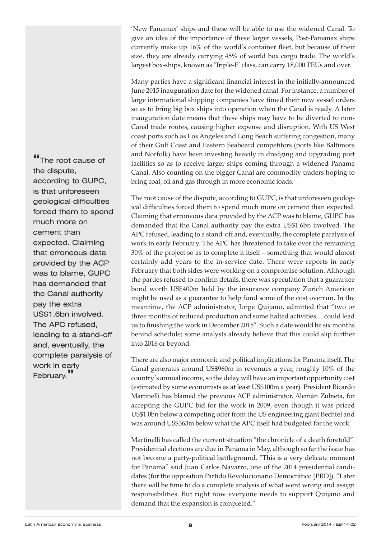'New Panamax' ships and these will be able to use the widened Canal. To give an idea of the importance of these larger vessels, Post-Pamanax ships currently make up 16% of the world's container fleet, but because of their size, they are already carrying 45% of world box cargo trade. The world's largest box-ships, known as 'Triple-E' class, can carry 18,000 TEUs and over.

Many parties have a significant financial interest in the initially-announced June 2015 inauguration date for the widened canal. For instance, a number of large international shipping companies have timed their new vessel orders so as to bring big box ships into operation when the Canal is ready. A later inauguration date means that these ships may have to be diverted to non-Canal trade routes, causing higher expense and disruption. With US West coast ports such as Los Angeles and Long Beach suffering congestion, many of their Gulf Coast and Eastern Seaboard competitors (ports like Baltimore and Norfolk) have been investing heavily in dredging and upgrading port facilities so as to receive larger ships coming through a widened Panama Canal. Also counting on the bigger Canal are commodity traders hoping to bring coal, oil and gas through in more economic loads.

The root cause of the dispute, according to GUPC, is that unforeseen geological difficulties forced them to spend much more on cement than expected. Claiming that erroneous data provided by the ACP was to blame, GUPC has demanded that the Canal authority pay the extra US\$1.6bn involved. The APC refused, leading to a stand-off and, eventually, the complete paralysis of work in early February. The APC has threatened to take over the remaining 30% of the project so as to complete it itself – something that would almost certainly add years to the in-service date. There were reports in early February that both sides were working on a compromise solution. Although the parties refused to confirm details, there was speculation that a guarantee bond worth US\$400m held by the insurance company Zurich American might be used as a guarantee to help fund some of the cost overrun. In the meantime, the ACP administrator, Jorge Quijano, admitted that "two or three months of reduced production and some halted activities… could lead us to finishing the work in December 2015". Such a date would be six months behind schedule; some analysts already believe that this could slip further into 2016 or beyond.

There are also major economic and political implications for Panama itself. The Canal generates around US\$960m in revenues a year, roughly 10% of the country's annual income, so the delay will have an important opportunity cost (estimated by some economists as at least US\$100m a year). President Ricardo Martinelli has blamed the previous ACP administrator, Alemán Zubieta, for accepting the GUPC bid for the work in 2009, even though it was priced US\$1.0bn below a competing offer from the US engineering giant Bechtel and was around US\$363m below what the APC itself had budgeted for the work.

Martinelli has called the current situation "the chronicle of a death foretold". Presidential elections are due in Panama in May, although so far the issue has not become a party-political battleground. "This is a very delicate moment for Panama" said Juan Carlos Navarro, one of the 2014 presidential candidates (for the opposition Partido Revolucionario Democrático [PRD]). "Later there will be time to do a complete analysis of what went wrong and assign responsibilities. But right now everyone needs to support Quijano and demand that the expansion is completed."

**"**The root cause of the dispute, according to GUPC, is that unforeseen geological difficulties forced them to spend much more on cement than expected. Claiming that erroneous data provided by the ACP was to blame, GUPC has demanded that the Canal authority pay the extra US\$1.6bn involved. The APC refused, leading to a stand-off and, eventually, the complete paralysis of work in early February.**"**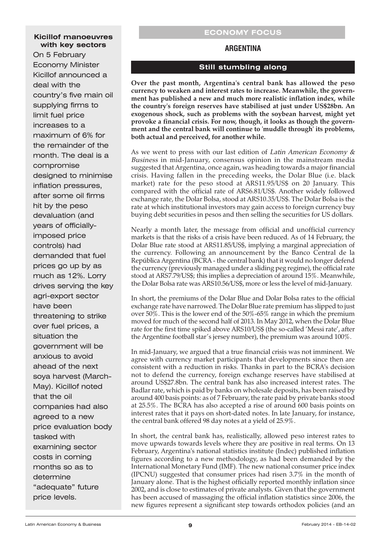#### <span id="page-8-0"></span>**Kicillof manoeuvres with key sectors**

On 5 February Economy Minister Kicillof announced a deal with the country's five main oil supplying firms to limit fuel price increases to a maximum of 6% for the remainder of the month. The deal is a compromise designed to minimise inflation pressures, after some oil firms hit by the peso devaluation (and years of officiallyimposed price controls) had demanded that fuel prices go up by as much as 12%. Lorry drives serving the key agri-export sector have been threatening to strike over fuel prices, a situation the government will be anxious to avoid ahead of the next soya harvest (March-May). Kicillof noted that the oil companies had also agreed to a new price evaluation body tasked with examining sector costs in coming months so as to determine "adequate" future price levels.

#### **ECONOMY FOCUS**

## **ARGENTINA**

## **Still stumbling along**

**Over the past month, Argentina's central bank has allowed the peso currency to weaken and interest rates to increase. Meanwhile, the government has published a new and much more realistic inflation index, while the country's foreign reserves have stabilised at just under US\$28bn. An exogenous shock, such as problems with the soybean harvest, might yet provoke a financial crisis. For now, though, it looks as though the government and the central bank will continue to 'muddle through' its problems, both actual and perceived, for another while.**

As we went to press with our last edition of Latin American Economy  $\&$ Business in mid-January, consensus opinion in the mainstream media suggested that Argentina, once again, was heading towards a major financial crisis. Having fallen in the preceding weeks, the Dolar Blue (i.e. black market) rate for the peso stood at ARS11.95/US\$ on 20 January. This compared with the official rate of ARS6.81/US\$. Another widely followed exchange rate, the Dolar Bolsa, stood at ARS10.35/US\$. The Dolar Bolsa is the rate at which institutional investors may gain access to foreign currency buy buying debt securities in pesos and then selling the securities for US dollars.

Nearly a month later, the message from official and unofficial currency markets is that the risks of a crisis have been reduced. As of 14 February, the Dolar Blue rate stood at ARS11.85/US\$, implying a marginal appreciation of the currency. Following an announcement by the Banco Central de la República Argentina (BCRA - the central bank) that it would no longer defend the currency (previously managed under a sliding peg regime), the official rate stood at ARS7.79/US\$; this implies a depreciation of around 15%. Meanwhile, the Dolar Bolsa rate was ARS10.56/US\$, more or less the level of mid-January.

In short, the premiums of the Dolar Blue and Dolar Bolsa rates to the official exchange rate have narrowed. The Dolar Blue rate premium has slipped to just over 50%. This is the lower end of the 50%-65% range in which the premium moved for much of the second half of 2013. In May 2012, when the Dolar Blue rate for the first time spiked above ARS10/US\$ (the so-called 'Messi rate', after the Argentine football star's jersey number), the premium was around 100%.

In mid-January, we argued that a true financial crisis was not imminent. We agree with currency market participants that developments since then are consistent with a reduction in risks. Thanks in part to the BCRA's decision not to defend the currency, foreign exchange reserves have stabilised at around US\$27.8bn. The central bank has also increased interest rates. The Badlar rate, which is paid by banks on wholesale deposits, has been raised by around 400 basis points: as of 7 February, the rate paid by private banks stood at 25.5%. The BCRA has also accepted a rise of around 600 basis points on interest rates that it pays on short-dated notes. In late January, for instance, the central bank offered 98 day notes at a yield of 25.9%.

In short, the central bank has, realistically, allowed peso interest rates to move upwards towards levels where they are positive in real terms. On 13 February, Argentina's national statistics institute (Indec) published inflation figures according to a new methodology, as had been demanded by the International Monetary Fund (IMF). The new national consumer price index (IPCNU) suggested that consumer prices had risen 3.7% in the month of January alone. That is the highest officially reported monthly inflation since 2002, and is close to estimates of private analysts. Given that the government has been accused of massaging the official inflation statistics since 2006, the new figures represent a significant step towards orthodox policies (and an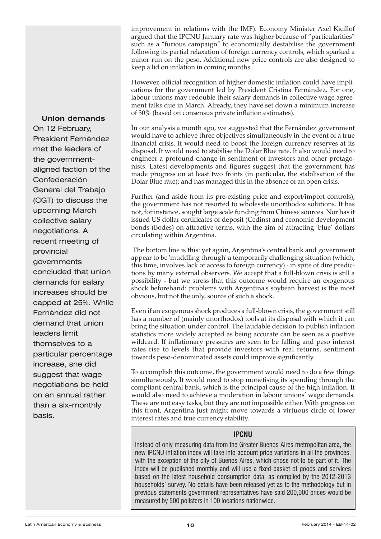improvement in relations with the IMF). Economy Minister Axel Kicillof argued that the IPCNU January rate was higher because of "particularities" such as a "furious campaign" to economically destabilise the government following its partial relaxation of foreign currency controls, which sparked a minor run on the peso. Additional new price controls are also designed to keep a lid on inflation in coming months.

However, official recognition of higher domestic inflation could have implications for the government led by President Cristina Fernández. For one, labour unions may redouble their salary demands in collective wage agreement talks due in March. Already, they have set down a minimum increase of 30% (based on consensus private inflation estimates).

In our analysis a month ago, we suggested that the Fernández government would have to achieve three objectives simultaneously in the event of a true financial crisis. It would need to boost the foreign currency reserves at its disposal. It would need to stabilise the Dolar Blue rate. It also would need to engineer a profound change in sentiment of investors and other protagonists. Latest developments and figures suggest that the government has made progress on at least two fronts (in particular, the stabilisation of the Dolar Blue rate); and has managed this in the absence of an open crisis.

Further (and aside from its pre-existing price and export/import controls), the government has not resorted to wholesale unorthodox solutions. It has not, for instance, sought large scale funding from Chinese sources. Nor has it issued US dollar certificates of deposit (Cedins) and economic development bonds (Bodes) on attractive terms, with the aim of attracting 'blue' dollars circulating within Argentina.

The bottom line is this: yet again, Argentina's central bank and government appear to be 'muddling through' a temporarily challenging situation (which, this time, involves lack of access to foreign currency) - in spite of dire predictions by many external observers. We accept that a full-blown crisis is still a possibility - but we stress that this outcome would require an exogenous shock beforehand: problems with Argentina's soybean harvest is the most obvious, but not the only, source of such a shock.

Even if an exogenous shock produces a full-blown crisis, the government still has a number of (mainly unorthodox) tools at its disposal with which it can bring the situation under control. The laudable decision to publish inflation statistics more widely accepted as being accurate can be seen as a positive wildcard. If inflationary pressures are seen to be falling and peso interest rates rise to levels that provide investors with real returns, sentiment towards peso-denominated assets could improve significantly.

To accomplish this outcome, the government would need to do a few things simultaneously. It would need to stop monetising its spending through the compliant central bank, which is the principal cause of the high inflation. It would also need to achieve a moderation in labour unions' wage demands. These are not easy tasks, but they are not impossible either. With progress on this front, Argentina just might move towards a virtuous circle of lower interest rates and true currency stability.

#### **IPCNU**

Instead of only measuring data from the Greater Buenos Aires metropolitan area, the new IPCNU inflation index will take into account price variations in all the provinces, with the exception of the city of Buenos Aires, which chose not to be part of it. The index will be published monthly and will use a fixed basket of goods and services based on the latest household consumption data, as compiled by the 2012-2013 households' survey. No details have been released yet as to the methodology but in previous statements government representatives have said 200,000 prices would be measured by 500 pollsters in 100 locations nationwide.

## **Union demands**

On 12 February, President Fernández met the leaders of the governmentaligned faction of the Confederación General del Trabajo (CGT) to discuss the upcoming March collective salary negotiations. A recent meeting of provincial governments concluded that union demands for salary increases should be capped at 25%. While Fernández did not demand that union leaders limit themselves to a particular percentage increase, she did suggest that wage negotiations be held on an annual rather than a six-monthly basis.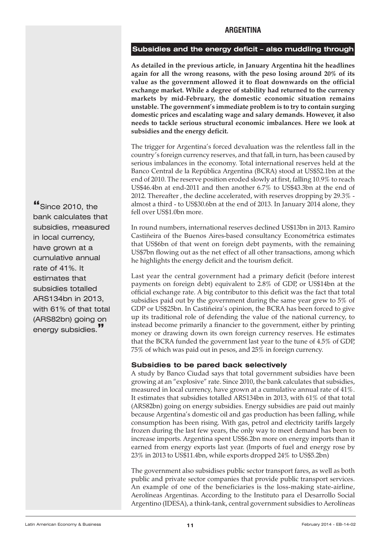## **ARGENTINA**

## <span id="page-10-0"></span>**Subsidies and the energy deficit – also muddling through**

**As detailed in the previous article, in January Argentina hit the headlines again for all the wrong reasons, with the peso losing around 20% of its value as the government allowed it to float downwards on the official exchange market. While a degree of stability had returned to the currency markets by mid-February, the domestic economic situation remains unstable. The government's immediate problem is to try to contain surging domestic prices and escalating wage and salary demands. However, it also needs to tackle serious structural economic imbalances. Here we look at subsidies and the energy deficit.**

The trigger for Argentina's forced devaluation was the relentless fall in the country's foreign currency reserves, and that fall, in turn, has been caused by serious imbalances in the economy. Total international reserves held at the Banco Central de la República Argentina (BCRA) stood at US\$52.1bn at the end of 2010. The reserve position eroded slowly at first, falling 10.9% to reach US\$46.4bn at end-2011 and then another 6.7% to US\$43.3bn at the end of 2012. Thereafter , the decline accelerated, with reserves dropping by 29.3% almost a third - to US\$30.6bn at the end of 2013. In January 2014 alone, they fell over US\$1.0bn more.

In round numbers, international reserves declined US\$13bn in 2013. Ramiro Castiñeira of the Buenos Aires-based consultancy Econométrica estimates that US\$6bn of that went on foreign debt payments, with the remaining US\$7bn flowing out as the net effect of all other transactions, among which he highlights the energy deficit and the tourism deficit.

Last year the central government had a primary deficit (before interest payments on foreign debt) equivalent to 2.8% of GDP, or US\$14bn at the official exchange rate. A big contributor to this deficit was the fact that total subsidies paid out by the government during the same year grew to 5% of GDP or US\$25bn. In Castiñeira's opinion, the BCRA has been forced to give up its traditional role of defending the value of the national currency, to instead become primarily a financier to the government, either by printing money or drawing down its own foreign currency reserves. He estimates that the BCRA funded the government last year to the tune of 4.5% of GDP, 75% of which was paid out in pesos, and 25% in foreign currency.

## **Subsidies to be pared back selectively**

A study by Banco Ciudad says that total government subsidies have been growing at an "explosive" rate. Since 2010, the bank calculates that subsidies, measured in local currency, have grown at a cumulative annual rate of 41%. It estimates that subsidies totalled ARS134bn in 2013, with 61% of that total (ARS82bn) going on energy subsidies. Energy subsidies are paid out mainly because Argentina's domestic oil and gas production has been falling, while consumption has been rising. With gas, petrol and electricity tariffs largely frozen during the last few years, the only way to meet demand has been to increase imports. Argentina spent US\$6.2bn more on energy imports than it earned from energy exports last year. (Imports of fuel and energy rose by 23% in 2013 to US\$11.4bn, while exports dropped 24% to US\$5.2bn)

The government also subsidises public sector transport fares, as well as both public and private sector companies that provide public transport services. An example of one of the beneficiaries is the loss-making state-airline, Aerolíneas Argentinas. According to the Instituto para el Desarrollo Social Argentino (IDESA), a think-tank, central government subsidies to Aerolíneas

**"**Since 2010, the bank calculates that subsidies, measured in local currency, have grown at a cumulative annual rate of 41%. It estimates that subsidies totalled ARS134bn in 2013, with 61% of that total (ARS82bn) going on energy subsidies.**"**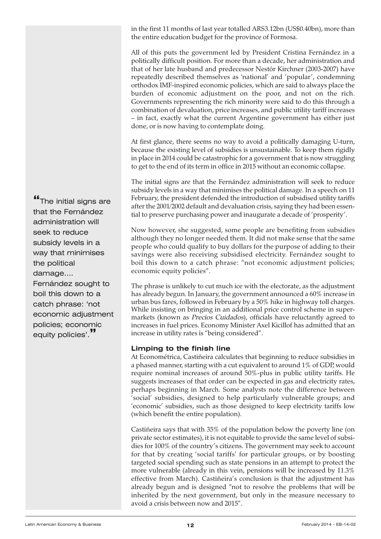in the first 11 months of last year totalled ARS3.12bn (US\$0.40bn), more than the entire education budget for the province of Formosa.

All of this puts the government led by President Cristina Fernández in a politically difficult position. For more than a decade, her administration and that of her late husband and predecessor Nestór Kirchner (2003-2007) have repeatedly described themselves as 'national' and 'popular', condemning orthodox IMF-inspired economic policies, which are said to always place the burden of economic adjustment on the poor, and not on the rich. Governments representing the rich minority were said to do this through a combination of devaluation, price increases, and public utility tariff increases – in fact, exactly what the current Argentine government has either just done, or is now having to contemplate doing.

At first glance, there seems no way to avoid a politically damaging U-turn, because the existing level of subsidies is unsustainable. To keep them rigidly in place in 2014 could be catastrophic for a government that is now struggling to get to the end of its term in office in 2015 without an economic collapse.

The initial signs are that the Fernández administration will seek to reduce subsidy levels in a way that minimises the political damage. In a speech on 11 February, the president defended the introduction of subsidised utility tariffs after the 2001/2002 default and devaluation crisis, saying they had been essential to preserve purchasing power and inaugurate a decade of 'prosperity'.

Now however, she suggested, some people are benefiting from subsidies although they no longer needed them. It did not make sense that the same people who could qualify to buy dollars for the purpose of adding to their savings were also receiving subsidised electricity. Fernández sought to boil this down to a catch phrase: "not economic adjustment policies; economic equity policies".

The phrase is unlikely to cut much ice with the electorate, as the adjustment has already begun. In January, the government announced a 60% increase in urban bus fares, followed in February by a 50% hike in highway toll charges. While insisting on bringing in an additional price control scheme in supermarkets (known as Precios Cuidados), officials have reluctantly agreed to increases in fuel prices. Economy Minister Axel Kicillof has admitted that an increase in utility rates is "being considered".

## **Limping to the finish line**

At Econométrica, Castiñeira calculates that beginning to reduce subsidies in a phased manner, starting with a cut equivalent to around 1% of GDP, would require nominal increases of around 50%-plus in public utility tariffs. He suggests increases of that order can be expected in gas and electricity rates, perhaps beginning in March. Some analysts note the difference between 'social' subsidies, designed to help particularly vulnerable groups; and 'economic' subsidies, such as those designed to keep electricity tariffs low (which benefit the entire population).

Castiñeira says that with 35% of the population below the poverty line (on private sector estimates), it is not equitable to provide the same level of subsidies for 100% of the country's citizens. The government may seek to account for that by creating 'social tariffs' for particular groups, or by boosting targeted social spending such as state pensions in an attempt to protect the more vulnerable (already in this vein, pensions will be increased by 11.3% effective from March). Castiñeira's conclusion is that the adjustment has already begun and is designed "not to resolve the problems that will be inherited by the next government, but only in the measure necessary to avoid a crisis between now and 2015".

**"**The initial signs are that the Fernández administration will seek to reduce subsidy levels in a way that minimises the political damage…. Fernández sought to boil this down to a catch phrase: 'not

economic adjustment policies; economic equity policies'.**"**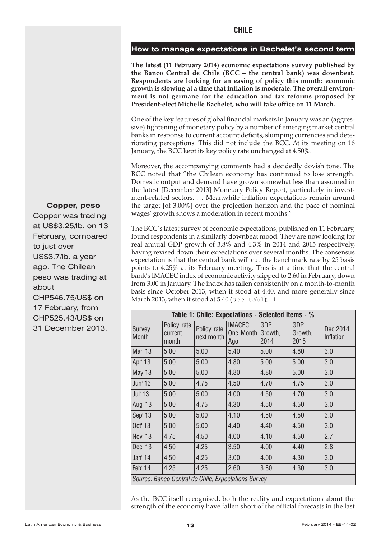#### <span id="page-12-0"></span>**How to manage expectations in Bachelet's second term**

**The latest (11 February 2014) economic expectations survey published by the Banco Central de Chile (BCC – the central bank) was downbeat. Respondents are looking for an easing of policy this month: economic growth is slowing at a time that inflation is moderate. The overall environment is not germane for the education and tax reforms proposed by President-elect Michelle Bachelet, who will take office on 11 March.**

One of the key features of global financial markets in January was an (aggressive) tightening of monetary policy by a number of emerging market central banks in response to current account deficits, slumping currencies and deteriorating perceptions. This did not include the BCC. At its meeting on 16 January, the BCC kept its key policy rate unchanged at 4.50%.

Moreover, the accompanying comments had a decidedly dovish tone. The BCC noted that "the Chilean economy has continued to lose strength. Domestic output and demand have grown somewhat less than assumed in the latest [December 2013] Monetary Policy Report, particularly in investment-related sectors. … Meanwhile inflation expectations remain around the target [of 3.00%] over the projection horizon and the pace of nominal wages' growth shows a moderation in recent months."

The BCC's latest survey of economic expectations, published on 11 February, found respondents in a similarly downbeat mood. They are now looking for real annual GDP growth of 3.8% and 4.3% in 2014 and 2015 respectively, having revised down their expectations over several months. The consensus expectation is that the central bank will cut the benchmark rate by 25 basis points to 4.25% at its February meeting. This is at a time that the central bank's IMACEC index of economic activity slipped to 2.60 in February, down from 3.00 in January. The index has fallen consistently on a month-to-month basis since October 2013, when it stood at 4.40, and more generally since March 2013, when it stood at  $5.40$  (see table 1

| Table 1: Chile: Expectations - Selected Items - %   |                                  |                            |                                     |             |                               |                       |
|-----------------------------------------------------|----------------------------------|----------------------------|-------------------------------------|-------------|-------------------------------|-----------------------|
| Survey<br><b>Month</b>                              | Policy rate,<br>current<br>month | Policy rate,<br>next month | IMACEC,<br>One Month Growth,<br>Ago | GDP<br>2014 | <b>GDP</b><br>Growth,<br>2015 | Dec 2014<br>Inflation |
| Mar' 13                                             | 5.00                             | 5.00                       | 5.40                                | 5.00        | 4.80                          | 3.0                   |
| Apr' 13                                             | 5.00                             | 5.00                       | 4.80                                | 5.00        | 5.00                          | 3.0                   |
| <b>May 13</b>                                       | 5.00                             | 5.00                       | 4.80                                | 4.80        | 5.00                          | 3.0                   |
| Jun' 13                                             | 5.00                             | 4.75                       | 4.50                                | 4.70        | 4.75                          | 3.0                   |
| Jul' 13                                             | 5.00                             | 5.00                       | 4.00                                | 4.50        | 4.70                          | 3.0                   |
| Aug' 13                                             | 5.00                             | 4.75                       | 4.30                                | 4.50        | 4.50                          | 3.0                   |
| Sep' 13                                             | 5.00                             | 5.00                       | 4.10                                | 4.50        | 4.50                          | 3.0                   |
| Oct' 13                                             | 5.00                             | 5.00                       | 4.40                                | 4.40        | 4.50                          | 3.0                   |
| Nov' 13                                             | 4.75                             | 4.50                       | 4.00                                | 4.10        | 4.50                          | 2.7                   |
| Dec' 13                                             | 4.50                             | 4.25                       | 3.50                                | 4.00        | 4.40                          | 2.8                   |
| Jan' 14                                             | 4.50                             | 4.25                       | 3.00                                | 4.00        | 4.30                          | 3.0                   |
| Feb' 14                                             | 4.25                             | 4.25                       | 2.60                                | 3.80        | 4.30                          | 3.0                   |
| Source: Banco Central de Chile, Expectations Survey |                                  |                            |                                     |             |                               |                       |

As the BCC itself recognised, both the reality and expectations about the strength of the economy have fallen short of the official forecasts in the last

#### **Copper, peso**

Copper was trading at US\$3.25/lb. on 13 February, compared to just over US\$3.7/lb. a year ago. The Chilean peso was trading at about CHP546.75/US\$ on 17 February, from CHP525.43/US\$ on 31 December 2013.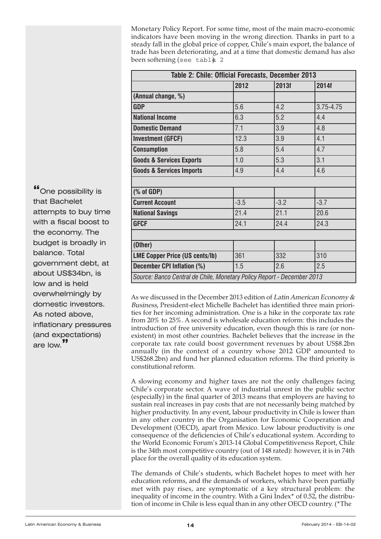Monetary Policy Report. For some time, most of the main macro-economic indicators have been moving in the wrong direction. Thanks in part to a steady fall in the global price of copper, Chile's main export, the balance of trade has been deteriorating, and at a time that domestic demand has also been softening (see table 2

| Table 2: Chile: Official Forecasts, December 2013                      |        |        |           |  |
|------------------------------------------------------------------------|--------|--------|-----------|--|
|                                                                        | 2012   | 2013f  | 2014f     |  |
| (Annual change, %)                                                     |        |        |           |  |
| <b>GDP</b>                                                             | 5.6    | 4.2    | 3.75-4.75 |  |
| <b>National Income</b>                                                 | 6.3    | 5.2    | 4.4       |  |
| <b>Domestic Demand</b>                                                 | 7.1    | 3.9    | 4.8       |  |
| <b>Investment (GFCF)</b>                                               | 12.3   | 3.9    | 4.1       |  |
| <b>Consumption</b>                                                     | 5.8    | 5.4    | 4.7       |  |
| <b>Goods &amp; Services Exports</b>                                    | 1.0    | 5.3    | 3.1       |  |
| <b>Goods &amp; Services Imports</b>                                    | 4.9    | 4.4    | 4.6       |  |
|                                                                        |        |        |           |  |
| $(% \mathcal{L}_{0})$ (% of GDP)                                       |        |        |           |  |
| <b>Current Account</b>                                                 | $-3.5$ | $-3.2$ | $-3.7$    |  |
| <b>National Savings</b>                                                | 21.4   | 21.1   | 20.6      |  |
| <b>GFCF</b>                                                            | 24.1   | 24.4   | 24.3      |  |
|                                                                        |        |        |           |  |
| (Other)                                                                |        |        |           |  |
| <b>LME Copper Price (US cents/lb)</b>                                  | 361    | 332    | 310       |  |
| December CPI Inflation (%)                                             | 1.5    | 2.6    | 2.5       |  |
| Source: Banco Central de Chile, Monetary Policy Report - December 2013 |        |        |           |  |

As we discussed in the December 2013 edition of Latin American Economy & Business, President-elect Michelle Bachelet has identified three main priorities for her incoming administration. One is a hike in the corporate tax rate from 20% to 25%. A second is wholesale education reform: this includes the introduction of free university education, even though this is rare (or nonexistent) in most other countries. Bachelet believes that the increase in the corporate tax rate could boost government revenues by about US\$8.2bn annually (in the context of a country whose 2012 GDP amounted to US\$268.2bn) and fund her planned education reforms. The third priority is constitutional reform.

A slowing economy and higher taxes are not the only challenges facing Chile's corporate sector. A wave of industrial unrest in the public sector (especially) in the final quarter of 2013 means that employers are having to sustain real increases in pay costs that are not necessarily being matched by higher productivity. In any event, labour productivity in Chile is lower than in any other country in the Organisation for Economic Cooperation and Development (OECD), apart from Mexico. Low labour productivity is one consequence of the deficiencies of Chile's educational system. According to the World Economic Forum's 2013-14 Global Competitiveness Report, Chile is the 34th most competitive country (out of 148 rated): however, it is in 74th place for the overall quality of its education system.

The demands of Chile's students, which Bachelet hopes to meet with her education reforms, and the demands of workers, which have been partially met with pay rises, are symptomatic of a key structural problem: the inequality of income in the country. With a Gini Index\* of 0.52, the distribution of income in Chile is less equal than in any other OECD country. (\*The

**"**One possibility is that Bachelet attempts to buy time with a fiscal boost to the economy. The budget is broadly in balance. Total government debt, at about US\$34bn, is low and is held overwhelmingly by domestic investors. As noted above, inflationary pressures (and expectations) are low.**"**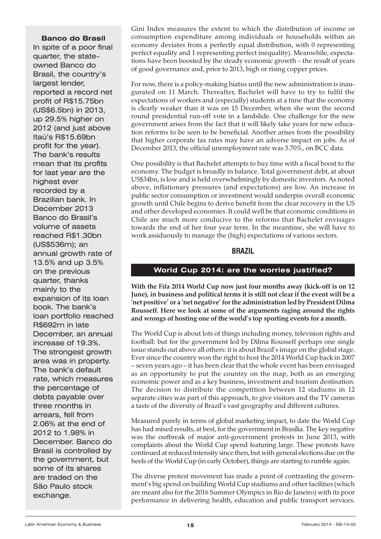## <span id="page-14-0"></span>**Banco do Brasil**

In spite of a poor final quarter, the stateowned Banco do Brasil, the country's largest lender, reported a record net profit of R\$15.75bn (US\$6.5bn) in 2013, up 29.5% higher on 2012 (and just above Itaú's R\$15.69bn profit for the year). The bank's results mean that its profits for last year are the highest ever recorded by a Brazilian bank. In December 2013 Banco do Brasil's volume of assets reached R\$1.30bn (US\$536m); an annual growth rate of 13.5% and up 3.5% on the previous quarter, thanks mainly to the expansion of its loan book. The bank's loan portfolio reached R\$692m in late December, an annual increase of 19.3%. The strongest growth area was in property. The bank's default rate, which measures the percentage of debts payable over three months in arrears, fell from 2.06% at the end of 2012 to 1.98% in December. Banco do Brasil is controlled by the government, but some of its shares are traded on the São Paulo stock exchange.

Gini Index measures the extent to which the distribution of income or consumption expenditure among individuals or households within an economy deviates from a perfectly equal distribution, with 0 representing perfect equality and 1 representing perfect inequality). Meanwhile, expectations have been boosted by the steady economic growth – the result of years of good governance and, prior to 2013, high or rising copper prices.

For now, there is a policy-making hiatus until the new administration is inaugurated on 11 March. Thereafter, Bachelet will have to try to fulfil the expectations of workers and (especially) students at a time that the economy is clearly weaker than it was on 15 December, when she won the second round presidential run-off vote in a landslide. One challenge for the new government arises from the fact that it will likely take years for new education reforms to be seen to be beneficial. Another arises from the possibility that higher corporate tax rates may have an adverse impact on jobs. As of December 2013, the official unemployment rate was 5.70%, on BCC data.

One possibility is that Bachelet attempts to buy time with a fiscal boost to the economy. The budget is broadly in balance. Total government debt, at about US\$34bn, is low and is held overwhelmingly by domestic investors. As noted above, inflationary pressures (and expectations) are low. An increase in public sector consumption or investment would underpin overall economic growth until Chile begins to derive benefit from the clear recovery in the US and other developed economies. It could well be that economic conditions in Chile are much more conducive to the reforms that Bachelet envisages towards the end of her four year term. In the meantime, she will have to work assiduously to manage the (high) expectations of various sectors.

## **BRAZIL**

## **World Cup 2014: are the worries justified?**

**With the Fifa 2014 World Cup now just four months away (kick-off is on 12 June), in business and political terms it is still not clear if the event will be a 'net positive' or a 'net negative'forthe administration led by President Dilma Rousseff. Here we look at some of the arguments raging around the rights and wrongs of hosting one of the world's top sporting events for a month.**

The World Cup is about lots of things including money, television rights and football: but for the government led by Dilma Rousseff perhaps one single issue stands out above all others: it is about Brazil's image on the global stage. Ever since the country won the right to host the 2014 World Cup back in 2007 – seven years ago – it has been clear that the whole event has been envisaged as an opportunity to put the country on the map, both as an emerging economic power and as a key business, investment and tourism destination. The decision to distribute the competition between 12 stadiums in 12 separate cities was part of this approach, to give visitors and the TV cameras a taste of the diversity of Brazil's vast geography and different cultures.

Measured purely in terms of global marketing impact, to date the World Cup has had mixed results, at best, for the government in Brasília. The key negative was the outbreak of major anti-government protests in June 2013, with complaints about the World Cup spend featuring large. These protests have continued at reduced intensity since then, but with general elections due on the heels of the World Cup (in early October), things are starting to rumble again.

The diverse protest movement has made a point of contrasting the government's big spend on building World Cup stadiums and other facilities (which are meant also for the 2016 Summer Olympics in Rio de Janeiro) with its poor performance in delivering health, education and public transport services.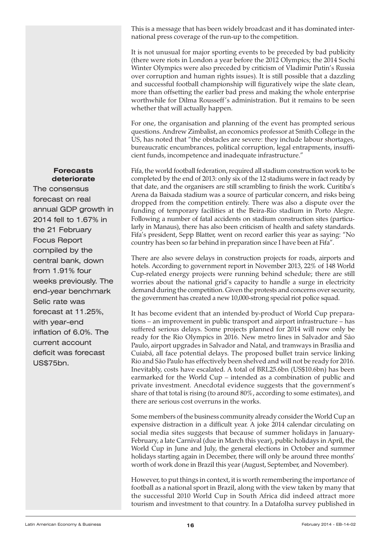This is a message that has been widely broadcast and it has dominated international press coverage of the run-up to the competition.

It is not unusual for major sporting events to be preceded by bad publicity (there were riots in London a year before the 2012 Olympics; the 2014 Sochi Winter Olympics were also preceded by criticism of Vladimir Putin's Russia over corruption and human rights issues). It is still possible that a dazzling and successful football championship will figuratively wipe the slate clean, more than offsetting the earlier bad press and making the whole enterprise worthwhile for Dilma Rousseff's administration. But it remains to be seen whether that will actually happen.

For one, the organisation and planning of the event has prompted serious questions. Andrew Zimbalist, an economics professor at Smith College in the US, has noted that "the obstacles are severe: they include labour shortages, bureaucratic encumbrances, political corruption, legal entrapments, insufficient funds, incompetence and inadequate infrastructure."

Fifa, the world football federation, required all stadium construction work to be completed by the end of 2013: only six of the 12 stadiums were in fact ready by that date, and the organisers are still scrambling to finish the work. Curitiba's Arena da Baixada stadium was a source of particular concern, and risks being dropped from the competition entirely. There was also a dispute over the funding of temporary facilities at the Beira-Rio stadium in Porto Alegre. Following a number of fatal accidents on stadium construction sites (particularly in Manaus), there has also been criticism of health and safety standards. Fifa's president, Sepp Blatter, went on record earlier this year as saying: "No country has been so far behind in preparation since I have been at Fifa".

There are also severe delays in construction projects for roads, airports and hotels. According to government report in November 2013, 22% of 148 World Cup-related energy projects were running behind schedule; there are still worries about the national grid's capacity to handle a surge in electricity demand during the competition. Given the protests and concerns over security, the government has created a new 10,000-strong special riot police squad.

It has become evident that an intended by-product of World Cup preparations – an improvement in public transport and airport infrastructure – has suffered serious delays. Some projects planned for 2014 will now only be ready for the Rio Olympics in 2016. New metro lines in Salvador and São Paulo, airport upgrades in Salvador and Natal, and tramways in Brasília and Cuiabá, all face potential delays. The proposed bullet train service linking Rio and São Paulo has effectively been shelved and will not be ready for 2016. Inevitably, costs have escalated. A total of BRL25.6bn (US\$10.6bn) has been earmarked for the World Cup – intended as a combination of public and private investment. Anecdotal evidence suggests that the government's share of that total is rising (to around 80%, according to some estimates), and there are serious cost overruns in the works.

Some members of the business community already consider the World Cup an expensive distraction in a difficult year. A joke 2014 calendar circulating on social media sites suggests that because of summer holidays in January-February, a late Carnival (due in March this year), public holidays in April, the World Cup in June and July, the general elections in October and summer holidays starting again in December, there will only be around three months' worth of work done in Brazil this year (August, September, and November).

However, to put things in context, it is worth remembering the importance of football as a national sport in Brazil, along with the view taken by many that the successful 2010 World Cup in South Africa did indeed attract more tourism and investment to that country. In a Datafolha survey published in

#### **Forecasts deteriorate**

The consensus forecast on real annual GDP growth in 2014 fell to 1.67% in the 21 February Focus Report compiled by the central bank, down from 1.91% four weeks previously. The end-year benchmark Selic rate was forecast at 11.25%, with year-end inflation of 6.0%. The current account deficit was forecast US\$75bn.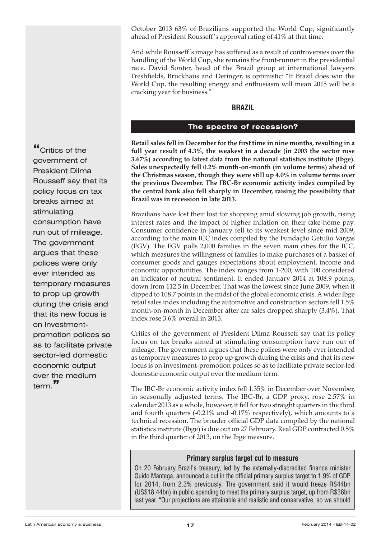<span id="page-16-0"></span>October 2013 63% of Brazilians supported the World Cup, significantly ahead of President Rousseff's approval rating of 41% at that time.

And while Rousseff's image has suffered as a result of controversies over the handling of the World Cup, she remains the front-runner in the presidential race. David Sonter, head of the Brazil group at international lawyers Freshfields, Bruckhaus and Deringer, is optimistic: "If Brazil does win the World Cup, the resulting energy and enthusiasm will mean 2015 will be a cracking year for business."

## **BRAZIL**

#### **The spectre of recession?**

**Retail sales fell in December for the first time in nine months, resulting in a full year result of 4.3%, the weakest in a decade (in 2003 the sector rose 3.67%) according to latest data from the national statistics institute (Ibge). Sales unexpectedly fell 0.2% month-on-month (in volume terms) ahead of the Christmas season, though they were still up 4.0% in volume terms over the previous December. The IBC-Br economic activity index compiled by the central bank also fell sharply in December, raising the possibility that Brazil was in recession in late 2013.**

Brazilians have lost their lust for shopping amid slowing job growth, rising interest rates and the impact of higher inflation on their take-home pay. Consumer confidence in January fell to its weakest level since mid-2009, according to the main ICC index compiled by the Fundação Getulio Vargas (FGV). The FGV polls 2,000 families in the seven main cities for the ICC, which measures the willingness of families to make purchases of a basket of consumer goods and gauges expectations about employment, income and economic opportunities. The index ranges from 1-200, with 100 considered an indicator of neutral sentiment. It ended January 2014 at 108.9 points, down from 112.5 in December. That was the lowest since June 2009, when it dipped to 108.7 points in the midst of the global economic crisis. A wider Ibge retail sales index including the automotive and construction sectors fell 1.5% month-on-month in December after car sales dropped sharply (3.4%). That index rose 3.6% overall in 2013.

Critics of the government of President Dilma Rousseff say that its policy focus on tax breaks aimed at stimulating consumption have run out of mileage. The government argues that these polices were only ever intended as temporary measures to prop up growth during the crisis and that its new focus is on investment-promotion polices so as to facilitate private sector-led domestic economic output over the medium term.

The IBC-Br economic activity index fell 1.35% in December over November, in seasonally adjusted terms. The IBC-Br, a GDP proxy, rose 2.57% in calendar 2013 as a whole, however, it fell for two straight quarters in the third and fourth quarters (-0.21% and -0.17% respectively), which amounts to a technical recession. The broader official GDP data compiled by the national statistics institute (Ibge) is due out on 27 February. Real GDP contracted 0.5% in the third quarter of 2013, on the Ibge measure.

#### **Primary surplus target cut to measure**

On 20 February Brazil's treasury, led by the externally-discredited finance minister Guido Mantega, announced a cut in the official primary surplus target to 1.9% of GDP for 2014, from 2.3% previously. The government said it would freeze R\$44bn (US\$18.44bn) in public spending to meet the primary surplus target, up from R\$38bn last year. "Our projections are attainable and realistic and conservative, so we should

**"**Critics of the government of President Dilma Rousseff say that its policy focus on tax breaks aimed at stimulating consumption have run out of mileage. The government argues that these polices were only ever intended as temporary measures to prop up growth during the crisis and that its new focus is on investmentpromotion polices so as to facilitate private sector-led domestic economic output over the medium term.**"**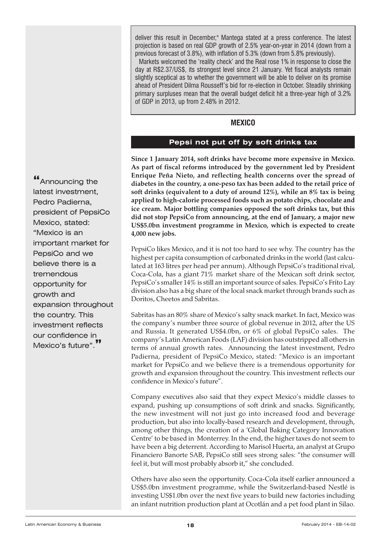**"**Announcing the latest investment, Pedro Padierna, president of PepsiCo Mexico, stated: "Mexico is an important market for PepsiCo and we believe there is a tremendous opportunity for growth and expansion throughout the country. This investment reflects our confidence in Mexico's future".**"**

<span id="page-17-0"></span>deliver this result in December," Mantega stated at a press conference. The latest projection is based on real GDP growth of 2.5% year-on-year in 2014 (down from a previous forecast of 3.8%), with inflation of 5.3% (down from 5.8% previously).

Markets welcomed the 'reality check' and the Real rose 1% in response to close the day at R\$2.37/US\$, its strongest level since 21 January. Yet fiscal analysts remain slightly sceptical as to whether the government will be able to deliver on its promise ahead of President Dilma Rousseff's bid for re-election in October. Steadily shrinking primary surpluses mean that the overall budget deficit hit a three-year high of 3.2% of GDP in 2013, up from 2.48% in 2012.

## **MEXICO**

## **Pepsi not put off by soft drinks tax**

**Since 1 January 2014, soft drinks have become more expensive in Mexico. As part of fiscal reforms introduced by the government led by President Enrique Peña Nieto, and reflecting health concerns over the spread of diabetes in the country, a one-peso tax has been added to the retail price of soft drinks (equivalent to a duty of around 12%), while an 8% tax is being applied to high-calorie processed foods such as potato chips, chocolate and ice cream. Major bottling companies opposed the soft drinks tax, but this did not stop PepsiCo from announcing, at the end of January, a major new US\$5.0bn investment programme in Mexico, which is expected to create 4,000 new jobs.**

PepsiCo likes Mexico, and it is not too hard to see why. The country has the highest per capita consumption of carbonated drinks in the world (last calculated at 163 litres per head per annum). Although PepsiCo's traditional rival, Coca-Cola, has a giant 71% market share of the Mexican soft drink sector, PepsiCo's smaller 14% is still an important source of sales. PepsiCo's Frito Lay division also has a big share of the local snack market through brands such as Doritos, Cheetos and Sabritas.

Sabritas has an 80% share of Mexico's salty snack market. In fact, Mexico was the company's number three source of global revenue in 2012, after the US and Russia. It generated US\$4.0bn, or 6% of global PepsiCo sales. The company's Latin American Foods (LAF) division has outstripped all others in terms of annual growth rates. Announcing the latest investment, Pedro Padierna, president of PepsiCo Mexico, stated: "Mexico is an important market for PepsiCo and we believe there is a tremendous opportunity for growth and expansion throughout the country. This investment reflects our confidence in Mexico's future".

Company executives also said that they expect Mexico's middle classes to expand, pushing up consumptions of soft drink and snacks. Significantly, the new investment will not just go into increased food and beverage production, but also into locally-based research and development, through, among other things, the creation of a 'Global Baking Category Innovation Centre' to be based in Monterrey. In the end, the higher taxes do not seem to have been a big deterrent. According to Marisol Huerta, an analyst at Grupo Financiero Banorte SAB, PepsiCo still sees strong sales: "the consumer will feel it, but will most probably absorb it," she concluded.

Others have also seen the opportunity. Coca-Cola itself earlier announced a US\$5.0bn investment programme, while the Switzerland-based Nestlé is investing US\$1.0bn over the next five years to build new factories including an infant nutrition production plant at Ocotlán and a pet food plant in Silao.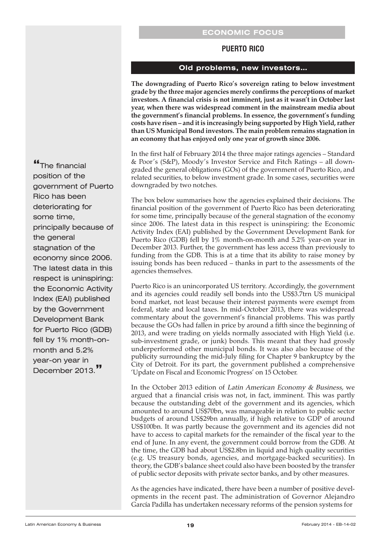## **PUERTO RICO**

## **Old problems, new investors…**

<span id="page-18-0"></span>**The downgrading of Puerto Rico's sovereign rating to below investment grade by the three major agencies merely confirms the perceptions of market investors. A financial crisis is not imminent, just as it wasn't in October last year, when there was widespread comment in the mainstream media about the government's financial problems. In essence, the government's funding costs have risen – and it is increasingly being supported by High Yield,rather than US Municipal Bond investors. The main problem remains stagnation in an economy that has enjoyed only one year of growth since 2006.**

In the first half of February 2014 the three major ratings agencies – Standard & Poor's (S&P), Moody's Investor Service and Fitch Ratings – all downgraded the general obligations (GOs) of the government of Puerto Rico, and related securities, to below investment grade. In some cases, securities were downgraded by two notches.

The box below summarises how the agencies explained their decisions. The financial position of the government of Puerto Rico has been deteriorating for some time, principally because of the general stagnation of the economy since 2006. The latest data in this respect is uninspiring: the Economic Activity Index (EAI) published by the Government Development Bank for Puerto Rico (GDB) fell by 1% month-on-month and 5.2% year-on year in December 2013. Further, the government has less access than previously to funding from the GDB. This is at a time that its ability to raise money by issuing bonds has been reduced – thanks in part to the assessments of the agencies themselves.

Puerto Rico is an unincorporated US territory. Accordingly, the government and its agencies could readily sell bonds into the US\$3.7trn US municipal bond market, not least because their interest payments were exempt from federal, state and local taxes. In mid-October 2013, there was widespread commentary about the government's financial problems. This was partly because the GOs had fallen in price by around a fifth since the beginning of 2013, and were trading on yields normally associated with High Yield (i.e. sub-investment grade, or junk) bonds. This meant that they had grossly underperformed other municipal bonds. It was also also because of the publicity surrounding the mid-July filing for Chapter 9 bankruptcy by the City of Detroit. For its part, the government published a comprehensive 'Update on Fiscal and Economic Progress' on 15 October.

In the October 2013 edition of Latin American Economy & Business, we argued that a financial crisis was not, in fact, imminent. This was partly because the outstanding debt of the government and its agencies, which amounted to around US\$70bn, was manageable in relation to public sector budgets of around US\$29bn annually, if high relative to GDP of around US\$100bn. It was partly because the government and its agencies did not have to access to capital markets for the remainder of the fiscal year to the end of June. In any event, the government could borrow from the GDB. At the time, the GDB had about US\$2.8bn in liquid and high quality securities (e.g. US treasury bonds, agencies, and mortgage-backed securities). In theory, the GDB's balance sheet could also have been boosted by the transfer of public sector deposits with private sector banks, and by other measures.

As the agencies have indicated, there have been a number of positive developments in the recent past. The administration of Governor Alejandro García Padilla has undertaken necessary reforms of the pension systems for

**"**The financial position of the government of Puerto Rico has been deteriorating for some time, principally because of the general stagnation of the economy since 2006. The latest data in this respect is uninspiring: the Economic Activity Index (EAI) published by the Government Development Bank for Puerto Rico (GDB) fell by 1% month-onmonth and 5.2% year-on year in December 2013.**"**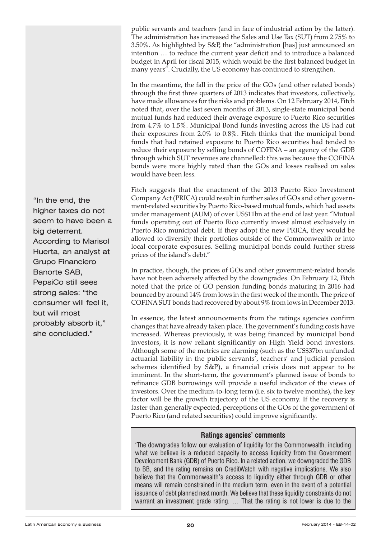public servants and teachers (and in face of industrial action by the latter). The administration has increased the Sales and Use Tax (SUT) from 2.75% to 3.50%. As highlighted by S&P, the "administration [has] just announced an intention … to reduce the current year deficit and to introduce a balanced budget in April for fiscal 2015, which would be the first balanced budget in many years". Crucially, the US economy has continued to strengthen.

In the meantime, the fall in the price of the GOs (and other related bonds) through the first three quarters of 2013 indicates that investors, collectively, have made allowances for the risks and problems. On 12 February 2014, Fitch noted that, over the last seven months of 2013, single-state municipal bond mutual funds had reduced their average exposure to Puerto Rico securities from 4.7% to 1.5%. Municipal Bond funds investing across the US had cut their exposures from 2.0% to 0.8%. Fitch thinks that the municipal bond funds that had retained exposure to Puerto Rico securities had tended to reduce their exposure by selling bonds of COFINA – an agency of the GDB through which SUT revenues are channelled: this was because the COFINA bonds were more highly rated than the GOs and losses realised on sales would have been less.

Fitch suggests that the enactment of the 2013 Puerto Rico Investment Company Act (PRICA) could result in further sales of GOs and other government-related securities by Puerto Rico-based mutual funds, which had assets under management (AUM) of over US\$11bn at the end of last year. "Mutual funds operating out of Puerto Rico currently invest almost exclusively in Puerto Rico municipal debt. If they adopt the new PRICA, they would be allowed to diversify their portfolios outside of the Commonwealth or into local corporate exposures. Selling municipal bonds could further stress prices of the island's debt."

In practice, though, the prices of GOs and other government-related bonds have not been adversely affected by the downgrades. On February 12, Fitch noted that the price of GO pension funding bonds maturing in 2016 had bounced by around 14% from lows in the first week of the month. The price of COFINA SUT bonds had recovered by about 9% from lows in December 2013.

In essence, the latest announcements from the ratings agencies confirm changes that have already taken place. The government's funding costs have increased. Whereas previously, it was being financed by municipal bond investors, it is now reliant significantly on High Yield bond investors. Although some of the metrics are alarming (such as the US\$37bn unfunded actuarial liability in the public servants', teachers' and judicial pension schemes identified by S&P), a financial crisis does not appear to be imminent. In the short-term, the government's planned issue of bonds to refinance GDB borrowings will provide a useful indicator of the views of investors. Over the medium-to-long term (i.e. six to twelve months), the key factor will be the growth trajectory of the US economy. If the recovery is faster than generally expected, perceptions of the GOs of the government of Puerto Rico (and related securities) could improve significantly.

## **Ratings agencies' comments**

'The downgrades follow our evaluation of liquidity for the Commonwealth, including what we believe is a reduced capacity to access liquidity from the Government Development Bank (GDB) of Puerto Rico. In a related action, we downgraded the GDB to BB, and the rating remains on CreditWatch with negative implications. We also believe that the Commonwealth's access to liquidity either through GDB or other means will remain constrained in the medium term, even in the event of a potential issuance of debt planned next month. We believe that these liquidity constraints do not warrant an investment grade rating. … That the rating is not lower is due to the

"In the end, the higher taxes do not seem to have been a big deterrent. According to Marisol Huerta, an analyst at Grupo Financiero Banorte SAB, PepsiCo still sees strong sales: "the consumer will feel it, but will most probably absorb it," she concluded."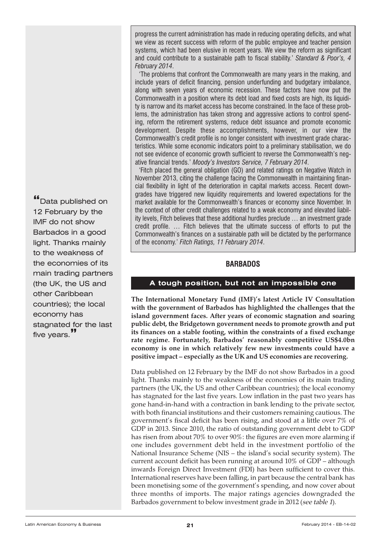<span id="page-20-0"></span>progress the current administration has made in reducing operating deficits, and what we view as recent success with reform of the public employee and teacher pension systems, which had been elusive in recent years. We view the reform as significant and could contribute to a sustainable path to fiscal stability.' *Standard & Poor's, 4 February 2014*.

'The problems that confront the Commonwealth are many years in the making, and include years of deficit financing, pension underfunding and budgetary imbalance, along with seven years of economic recession. These factors have now put the Commonwealth in a position where its debt load and fixed costs are high, its liquidity is narrow and its market access has become constrained. In the face of these problems, the administration has taken strong and aggressive actions to control spending, reform the retirement systems, reduce debt issuance and promote economic development. Despite these accomplishments, however, in our view the Commonwealth's credit profile is no longer consistent with investment grade characteristics. While some economic indicators point to a preliminary stabilisation, we do not see evidence of economic growth sufficient to reverse the Commonwealth's negative financial trends.' *Moody's Investors Service, 7 February 2014*.

'Fitch placed the general obligation (GO) and related ratings on Negative Watch in November 2013, citing the challenge facing the Commonwealth in maintaining financial flexibility in light of the deterioration in capital markets access. Recent downgrades have triggered new liquidity requirements and lowered expectations for the market available for the Commonwealth's finances or economy since November. In the context of other credit challenges related to a weak economy and elevated liability levels, Fitch believes that these additional hurdles preclude … an investment grade credit profile. … Fitch believes that the ultimate success of efforts to put the Commonwealth's finances on a sustainable path will be dictated by the performance of the economy.' *Fitch Ratings, 11 February 2014*.

## **BARBADOS**

## **A tough position, but not an impossible one**

**The International Monetary Fund (IMF)'s latest Article IV Consultation with the government of Barbados has highlighted the challenges that the island government faces. After years of economic stagnation and soaring public debt, the Bridgetown government needs to promote growth and put its finances on a stable footing, within the constraints of a fixed exchange rate regime. Fortunately, Barbados' reasonably competitive US\$4.0bn economy is one in which relatively few new investments could have a positive impact – especially as the UK and US economies are recovering.**

Data published on 12 February by the IMF do not show Barbados in a good light. Thanks mainly to the weakness of the economies of its main trading partners (the UK, the US and other Caribbean countries); the local economy has stagnated for the last five years. Low inflation in the past two years has gone hand-in-hand with a contraction in bank lending to the private sector, with both financial institutions and their customers remaining cautious. The government's fiscal deficit has been rising, and stood at a little over 7% of GDP in 2013. Since 2010, the ratio of outstanding government debt to GDP has risen from about 70% to over 90%: the figures are even more alarming if one includes government debt held in the investment portfolio of the National Insurance Scheme (NIS – the island's social security system). The current account deficit has been running at around 10% of GDP – although inwards Foreign Direct Investment (FDI) has been sufficient to cover this. International reserves have been falling, in part because the central bank has been monetising some of the government's spending, and now cover about three months of imports. The major ratings agencies downgraded the Barbados government to below investment grade in 2012 (see table 1).

**"**Data published on 12 February by the IMF do not show Barbados in a good light. Thanks mainly to the weakness of the economies of its main trading partners (the UK, the US and other Caribbean countries); the local economy has stagnated for the last five years.**"**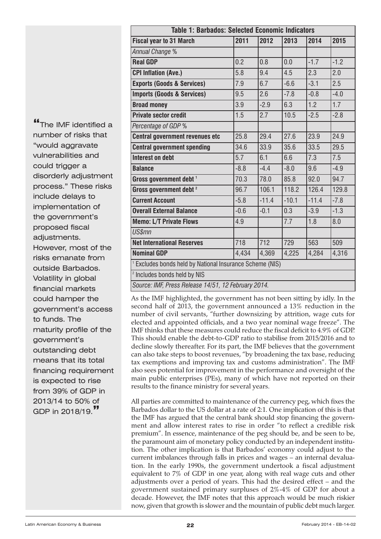| <b>Table 1: Barbados: Selected Economic Indicators</b>              |        |         |         |         |        |
|---------------------------------------------------------------------|--------|---------|---------|---------|--------|
| <b>Fiscal year to 31 March</b>                                      | 2011   | 2012    | 2013    | 2014    | 2015   |
| Annual Change %                                                     |        |         |         |         |        |
| <b>Real GDP</b>                                                     | 0.2    | 0.8     | 0.0     | $-1.7$  | $-1.2$ |
| <b>CPI Inflation (Ave.)</b>                                         | 5.8    | 9.4     | 4.5     | 2.3     | 2.0    |
| <b>Exports (Goods &amp; Services)</b>                               | 7.9    | 6.7     | $-6.6$  | $-3.1$  | 2.5    |
| <b>Imports (Goods &amp; Services)</b>                               | 9.5    | 2.6     | $-7.8$  | $-0.8$  | $-4.0$ |
| <b>Broad money</b>                                                  | 3.9    | $-2.9$  | 6.3     | 1.2     | 1.7    |
| <b>Private sector credit</b>                                        | 1.5    | 2.7     | 10.5    | $-2.5$  | $-2.8$ |
| Percentage of GDP %                                                 |        |         |         |         |        |
| <b>Central government revenues etc</b>                              | 25.8   | 29.4    | 27.6    | 23.9    | 24.9   |
| <b>Central government spending</b>                                  | 34.6   | 33.9    | 35.6    | 33.5    | 29.5   |
| <b>Interest on debt</b>                                             | 5.7    | 6.1     | 6.6     | 7.3     | 7.5    |
| <b>Balance</b>                                                      | $-8.8$ | $-4.4$  | $-8.0$  | 9.6     | $-4.9$ |
| Gross government debt <sup>1</sup>                                  | 70.3   | 78.0    | 85.8    | 92.0    | 94.7   |
| Gross government debt <sup>2</sup>                                  | 96.7   | 106.1   | 118.2   | 126.4   | 129.8  |
| <b>Current Account</b>                                              | $-5.8$ | $-11.4$ | $-10.1$ | $-11.4$ | $-7.8$ |
| <b>Overall External Balance</b>                                     | $-0.6$ | $-0.1$  | 0.3     | $-3.9$  | $-1.3$ |
| <b>Memo: L/T Private Flows</b>                                      | 4.9    |         | 7.7     | 1.8     | 8.0    |
| <b>US\$mn</b>                                                       |        |         |         |         |        |
| <b>Net International Reserves</b>                                   | 718    | 712     | 729     | 563     | 509    |
| <b>Nominal GDP</b>                                                  | 4,434  | 4,369   | 4,225   | 4,284   | 4,316  |
| <sup>1</sup> Excludes bonds held by National Insurance Scheme (NIS) |        |         |         |         |        |
| <sup>2</sup> Includes bonds held by NIS                             |        |         |         |         |        |
| Source: IMF, Press Release 14/51, 12 February 2014.                 |        |         |         |         |        |

As the IMF highlighted, the government has not been sitting by idly. In the second half of 2013, the government announced a 13% reduction in the number of civil servants, "further downsizing by attrition, wage cuts for elected and appointed officials, and a two year nominal wage freeze". The IMF thinks that these measures could reduce the fiscal deficit to 4.9% of GDP. This should enable the debt-to-GDP ratio to stabilise from 2015/2016 and to decline slowly thereafter. For its part, the IMF believes that the government can also take steps to boost revenues, "by broadening the tax base, reducing tax exemptions and improving tax and customs administration". The IMF also sees potential for improvement in the performance and oversight of the main public enterprises (PEs), many of which have not reported on their results to the finance ministry for several years.

All parties are committed to maintenance of the currency peg, which fixes the Barbados dollar to the US dollar at a rate of 2:1. One implication of this is that the IMF has argued that the central bank should stop financing the government and allow interest rates to rise in order "to reflect a credible risk premium". In essence, maintenance of the peg should be, and be seen to be, the paramount aim of monetary policy conducted by an independent institution. The other implication is that Barbados' economy could adjust to the current imbalances through falls in prices and wages – an internal devaluation. In the early 1990s, the government undertook a fiscal adjustment equivalent to 7% of GDP in one year, along with real wage cuts and other adjustments over a period of years. This had the desired effect – and the government sustained primary surpluses of 2%-4% of GDP for about a decade. However, the IMF notes that this approach would be much riskier now, given that growth is slower and the mountain of public debt much larger.

**"**The IMF identified <sup>a</sup> number of risks that "would aggravate vulnerabilities and could trigger a disorderly adjustment process." These risks include delays to implementation of the government's proposed fiscal adjustments. However, most of the risks emanate from outside Barbados. Volatility in global financial markets could hamper the government's access to funds. The maturity profile of the government's outstanding debt means that its total financing requirement is expected to rise from 39% of GDP in 2013/14 to 50% of GDP in 2018/19.**"**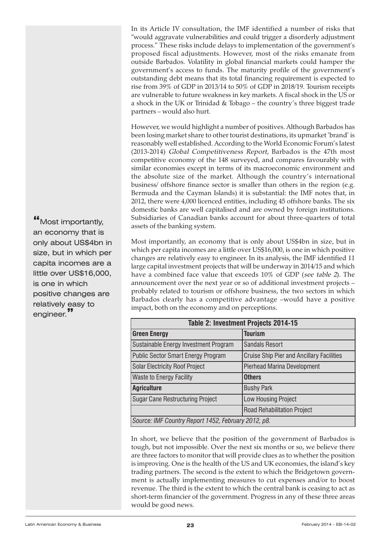In its Article IV consultation, the IMF identified a number of risks that "would aggravate vulnerabilities and could trigger a disorderly adjustment process." These risks include delays to implementation of the government's proposed fiscal adjustments. However, most of the risks emanate from outside Barbados. Volatility in global financial markets could hamper the government's access to funds. The maturity profile of the government's outstanding debt means that its total financing requirement is expected to rise from 39% of GDP in 2013/14 to 50% of GDP in 2018/19. Tourism receipts are vulnerable to future weakness in key markets. A fiscal shock in the US or a shock in the UK or Trinidad & Tobago – the country's three biggest trade partners – would also hurt.

However, we would highlight a number of positives. Although Barbados has been losing market share to other tourist destinations, its upmarket 'brand' is reasonably well established. According to the World Economic Forum's latest (2013-2014) Global Competitiveness Report, Barbados is the 47th most competitive economy of the 148 surveyed, and compares favourably with similar economies except in terms of its macroeconomic environment and the absolute size of the market. Although the country's international business/ offshore finance sector is smaller than others in the region (e.g. Bermuda and the Cayman Islands) it is substantial: the IMF notes that, in 2012, there were 4,000 licenced entities, including 45 offshore banks. The six domestic banks are well capitalised and are owned by foreign institutions. Subsidiaries of Canadian banks account for about three-quarters of total assets of the banking system.

Most importantly, an economy that is only about US\$4bn in size, but in which per capita incomes are a little over US\$16,000, is one in which positive changes are relatively easy to engineer. In its analysis, the IMF identified 11 large capital investment projects that will be underway in 2014/15 and which have a combined face value that exceeds 10% of GDP (see table <sup>2</sup>). The announcement over the next year or so of additional investment projects – probably related to tourism or offshore business, the two sectors in which Barbados clearly has a competitive advantage –would have a positive impact, both on the economy and on perceptions.

| Table 2: Investment Projects 2014-15                |                                                  |  |  |
|-----------------------------------------------------|--------------------------------------------------|--|--|
| <b>Green Energy</b>                                 | <b>Tourism</b>                                   |  |  |
| Sustainable Energy Investment Program               | <b>Sandals Resort</b>                            |  |  |
| <b>Public Sector Smart Energy Program</b>           | <b>Cruise Ship Pier and Ancillary Facilities</b> |  |  |
| <b>Solar Electricity Roof Project</b>               | Pierhead Marina Development                      |  |  |
| <b>Waste to Energy Facility</b>                     | <b>Others</b>                                    |  |  |
| <b>Agriculture</b>                                  | <b>Bushy Park</b>                                |  |  |
| <b>Sugar Cane Restructuring Project</b>             | Low Housing Project                              |  |  |
|                                                     | <b>Road Rehabilitation Project</b>               |  |  |
| Source: IMF Country Report 1452, February 2012, p8. |                                                  |  |  |

In short, we believe that the position of the government of Barbados is tough, but not impossible. Over the next six months or so, we believe there are three factors to monitor that will provide clues as to whether the position is improving. One is the health of the US and UK economies, the island's key trading partners. The second is the extent to which the Bridgetown government is actually implementing measures to cut expenses and/or to boost revenue. The third is the extent to which the central bank is ceasing to act as short-term financier of the government. Progress in any of these three areas would be good news.

**"**Most importantly, an economy that is only about US\$4bn in size, but in which per capita incomes are a little over US\$16,000, is one in which positive changes are relatively easy to engineer.**"**